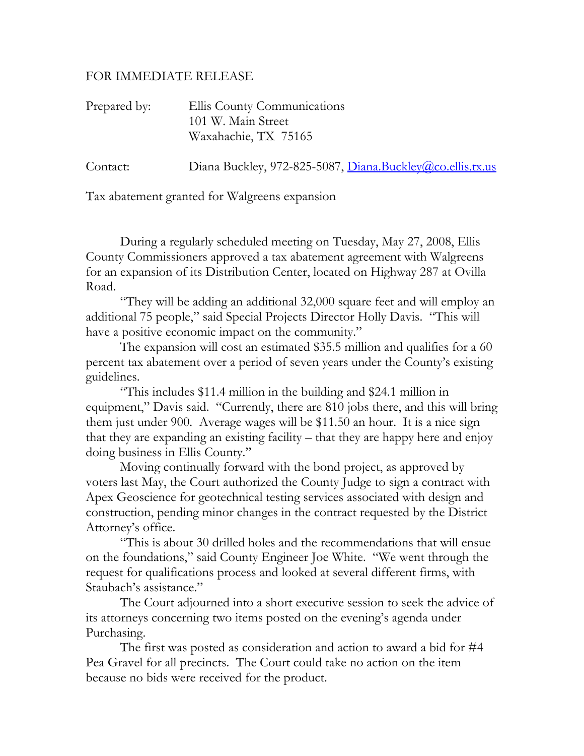## FOR IMMEDIATE RELEASE

| Prepared by: | Ellis County Communications |
|--------------|-----------------------------|
|              | 101 W. Main Street          |
|              | Waxahachie, TX 75165        |

Contact: Diana Buckley, 972-825-5087, [Diana.Buckley@co.ellis.tx.us](mailto:Diana.Buckley@co.ellis.tx.us)

Tax abatement granted for Walgreens expansion

 During a regularly scheduled meeting on Tuesday, May 27, 2008, Ellis County Commissioners approved a tax abatement agreement with Walgreens for an expansion of its Distribution Center, located on Highway 287 at Ovilla Road.

 "They will be adding an additional 32,000 square feet and will employ an additional 75 people," said Special Projects Director Holly Davis. "This will have a positive economic impact on the community."

 The expansion will cost an estimated \$35.5 million and qualifies for a 60 percent tax abatement over a period of seven years under the County's existing guidelines.

 "This includes \$11.4 million in the building and \$24.1 million in equipment," Davis said. "Currently, there are 810 jobs there, and this will bring them just under 900. Average wages will be \$11.50 an hour. It is a nice sign that they are expanding an existing facility – that they are happy here and enjoy doing business in Ellis County."

 Moving continually forward with the bond project, as approved by voters last May, the Court authorized the County Judge to sign a contract with Apex Geoscience for geotechnical testing services associated with design and construction, pending minor changes in the contract requested by the District Attorney's office.

 "This is about 30 drilled holes and the recommendations that will ensue on the foundations," said County Engineer Joe White. "We went through the request for qualifications process and looked at several different firms, with Staubach's assistance."

 The Court adjourned into a short executive session to seek the advice of its attorneys concerning two items posted on the evening's agenda under Purchasing.

The first was posted as consideration and action to award a bid for #4 Pea Gravel for all precincts. The Court could take no action on the item because no bids were received for the product.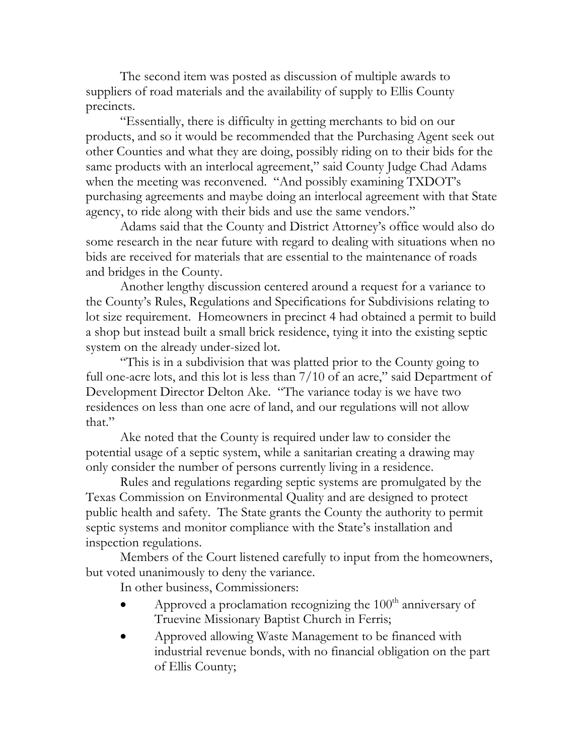The second item was posted as discussion of multiple awards to suppliers of road materials and the availability of supply to Ellis County precincts.

"Essentially, there is difficulty in getting merchants to bid on our products, and so it would be recommended that the Purchasing Agent seek out other Counties and what they are doing, possibly riding on to their bids for the same products with an interlocal agreement," said County Judge Chad Adams when the meeting was reconvened. "And possibly examining TXDOT's purchasing agreements and maybe doing an interlocal agreement with that State agency, to ride along with their bids and use the same vendors."

Adams said that the County and District Attorney's office would also do some research in the near future with regard to dealing with situations when no bids are received for materials that are essential to the maintenance of roads and bridges in the County.

 Another lengthy discussion centered around a request for a variance to the County's Rules, Regulations and Specifications for Subdivisions relating to lot size requirement. Homeowners in precinct 4 had obtained a permit to build a shop but instead built a small brick residence, tying it into the existing septic system on the already under-sized lot.

 "This is in a subdivision that was platted prior to the County going to full one-acre lots, and this lot is less than 7/10 of an acre," said Department of Development Director Delton Ake. "The variance today is we have two residences on less than one acre of land, and our regulations will not allow that."

 Ake noted that the County is required under law to consider the potential usage of a septic system, while a sanitarian creating a drawing may only consider the number of persons currently living in a residence.

 Rules and regulations regarding septic systems are promulgated by the Texas Commission on Environmental Quality and are designed to protect public health and safety. The State grants the County the authority to permit septic systems and monitor compliance with the State's installation and inspection regulations.

 Members of the Court listened carefully to input from the homeowners, but voted unanimously to deny the variance.

In other business, Commissioners:

- Approved a proclamation recognizing the  $100<sup>th</sup>$  anniversary of Truevine Missionary Baptist Church in Ferris;
- Approved allowing Waste Management to be financed with industrial revenue bonds, with no financial obligation on the part of Ellis County;